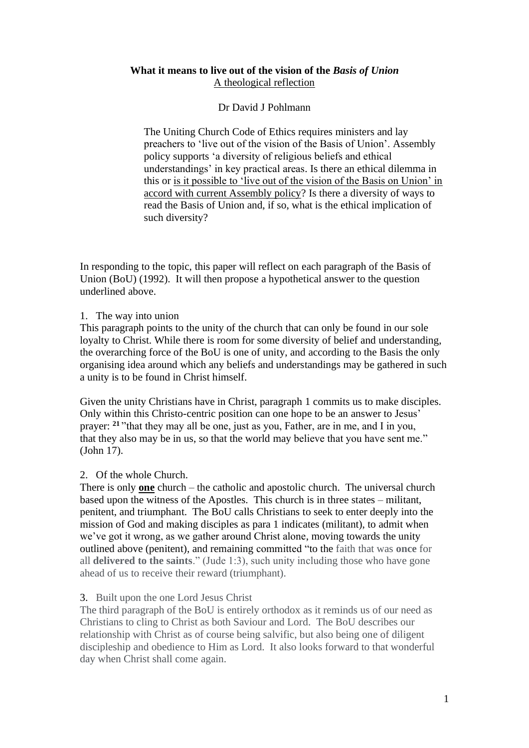### **What it means to live out of the vision of the** *Basis of Union* A theological reflection

## Dr David J Pohlmann

The Uniting Church Code of Ethics requires ministers and lay preachers to 'live out of the vision of the Basis of Union'. Assembly policy supports 'a diversity of religious beliefs and ethical understandings' in key practical areas. Is there an ethical dilemma in this or is it possible to 'live out of the vision of the Basis on Union' in accord with current Assembly policy? Is there a diversity of ways to read the Basis of Union and, if so, what is the ethical implication of such diversity?

In responding to the topic, this paper will reflect on each paragraph of the Basis of Union (BoU) (1992). It will then propose a hypothetical answer to the question underlined above.

### 1. The way into union

This paragraph points to the unity of the church that can only be found in our sole loyalty to Christ. While there is room for some diversity of belief and understanding, the overarching force of the BoU is one of unity, and according to the Basis the only organising idea around which any beliefs and understandings may be gathered in such a unity is to be found in Christ himself.

Given the unity Christians have in Christ, paragraph 1 commits us to make disciples. Only within this Christo-centric position can one hope to be an answer to Jesus' prayer: **<sup>21</sup>** "that they may all be one, just as you, Father, are in me, and I in you, that they also may be in us, so that the world may believe that you have sent me." (John 17).

# 2. Of the whole Church.

There is only **one** church – the catholic and apostolic church. The universal church based upon the witness of the Apostles. This church is in three states – militant, penitent, and triumphant. The BoU calls Christians to seek to enter deeply into the mission of God and making disciples as para 1 indicates (militant), to admit when we've got it wrong, as we gather around Christ alone, moving towards the unity outlined above (penitent), and remaining committed "to the faith that was **once** for all **delivered to the saints**." (Jude 1:3), such unity including those who have gone ahead of us to receive their reward (triumphant).

### 3. Built upon the one Lord Jesus Christ

The third paragraph of the BoU is entirely orthodox as it reminds us of our need as Christians to cling to Christ as both Saviour and Lord. The BoU describes our relationship with Christ as of course being salvific, but also being one of diligent discipleship and obedience to Him as Lord. It also looks forward to that wonderful day when Christ shall come again.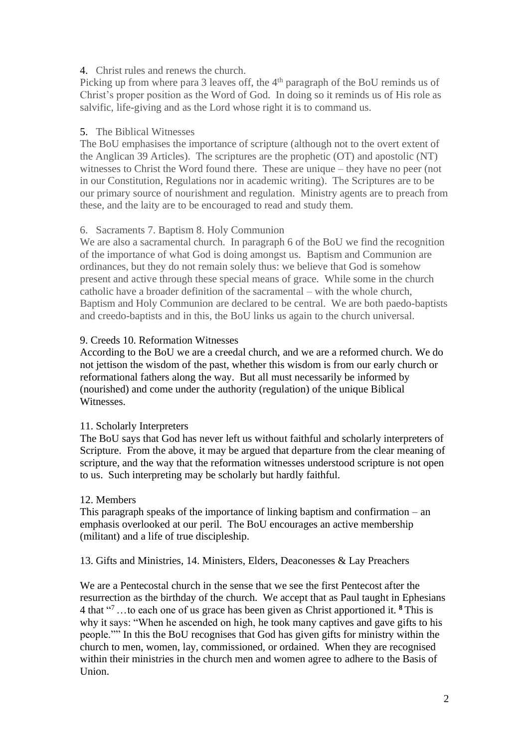## 4. Christ rules and renews the church.

Picking up from where para 3 leaves off, the  $4<sup>th</sup>$  paragraph of the BoU reminds us of Christ's proper position as the Word of God. In doing so it reminds us of His role as salvific, life-giving and as the Lord whose right it is to command us.

## 5. The Biblical Witnesses

The BoU emphasises the importance of scripture (although not to the overt extent of the Anglican 39 Articles). The scriptures are the prophetic (OT) and apostolic (NT) witnesses to Christ the Word found there. These are unique – they have no peer (not in our Constitution, Regulations nor in academic writing). The Scriptures are to be our primary source of nourishment and regulation. Ministry agents are to preach from these, and the laity are to be encouraged to read and study them.

# 6. Sacraments 7. Baptism 8. Holy Communion

We are also a sacramental church. In paragraph 6 of the BoU we find the recognition of the importance of what God is doing amongst us. Baptism and Communion are ordinances, but they do not remain solely thus: we believe that God is somehow present and active through these special means of grace. While some in the church catholic have a broader definition of the sacramental – with the whole church, Baptism and Holy Communion are declared to be central. We are both paedo-baptists and creedo-baptists and in this, the BoU links us again to the church universal.

## 9. Creeds 10. Reformation Witnesses

According to the BoU we are a creedal church, and we are a reformed church. We do not jettison the wisdom of the past, whether this wisdom is from our early church or reformational fathers along the way. But all must necessarily be informed by (nourished) and come under the authority (regulation) of the unique Biblical Witnesses.

# 11. Scholarly Interpreters

The BoU says that God has never left us without faithful and scholarly interpreters of Scripture. From the above, it may be argued that departure from the clear meaning of scripture, and the way that the reformation witnesses understood scripture is not open to us. Such interpreting may be scholarly but hardly faithful.

### 12. Members

This paragraph speaks of the importance of linking baptism and confirmation – an emphasis overlooked at our peril. The BoU encourages an active membership (militant) and a life of true discipleship.

13. Gifts and Ministries, 14. Ministers, Elders, Deaconesses & Lay Preachers

We are a Pentecostal church in the sense that we see the first Pentecost after the resurrection as the birthday of the church. We accept that as Paul taught in Ephesians 4 that " <sup>7</sup>…to each one of us grace has been given as Christ apportioned it. **<sup>8</sup>** This is why it says: "When he ascended on high, he took many captives and gave gifts to his people."" In this the BoU recognises that God has given gifts for ministry within the church to men, women, lay, commissioned, or ordained. When they are recognised within their ministries in the church men and women agree to adhere to the Basis of Union.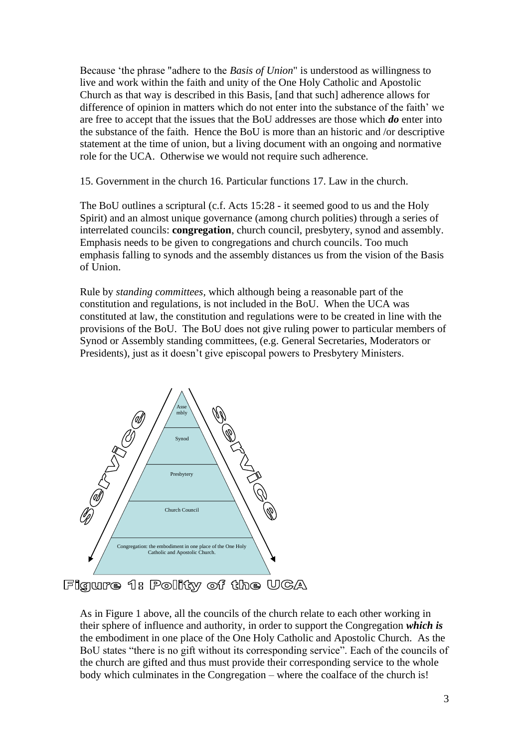Because 'the phrase "adhere to the *Basis of Union*" is understood as willingness to live and work within the faith and unity of the One Holy Catholic and Apostolic Church as that way is described in this Basis, [and that such] adherence allows for difference of opinion in matters which do not enter into the substance of the faith' we are free to accept that the issues that the BoU addresses are those which *do* enter into the substance of the faith. Hence the BoU is more than an historic and /or descriptive statement at the time of union, but a living document with an ongoing and normative role for the UCA. Otherwise we would not require such adherence.

15. Government in the church 16. Particular functions 17. Law in the church.

The BoU outlines a scriptural (c.f. Acts 15:28 - it seemed good to us and the Holy Spirit) and an almost unique governance (among church polities) through a series of interrelated councils: **congregation**, church council, presbytery, synod and assembly. Emphasis needs to be given to congregations and church councils. Too much emphasis falling to synods and the assembly distances us from the vision of the Basis of Union.

Rule by *standing committees,* which although being a reasonable part of the constitution and regulations, is not included in the BoU. When the UCA was constituted at law, the constitution and regulations were to be created in line with the provisions of the BoU. The BoU does not give ruling power to particular members of Synod or Assembly standing committees, (e.g. General Secretaries, Moderators or Presidents), just as it doesn't give episcopal powers to Presbytery Ministers.



Figure 1: Polity of the UCA

As in Figure 1 above, all the councils of the church relate to each other working in their sphere of influence and authority, in order to support the Congregation *which is* the embodiment in one place of the One Holy Catholic and Apostolic Church. As the BoU states "there is no gift without its corresponding service". Each of the councils of the church are gifted and thus must provide their corresponding service to the whole body which culminates in the Congregation – where the coalface of the church is!